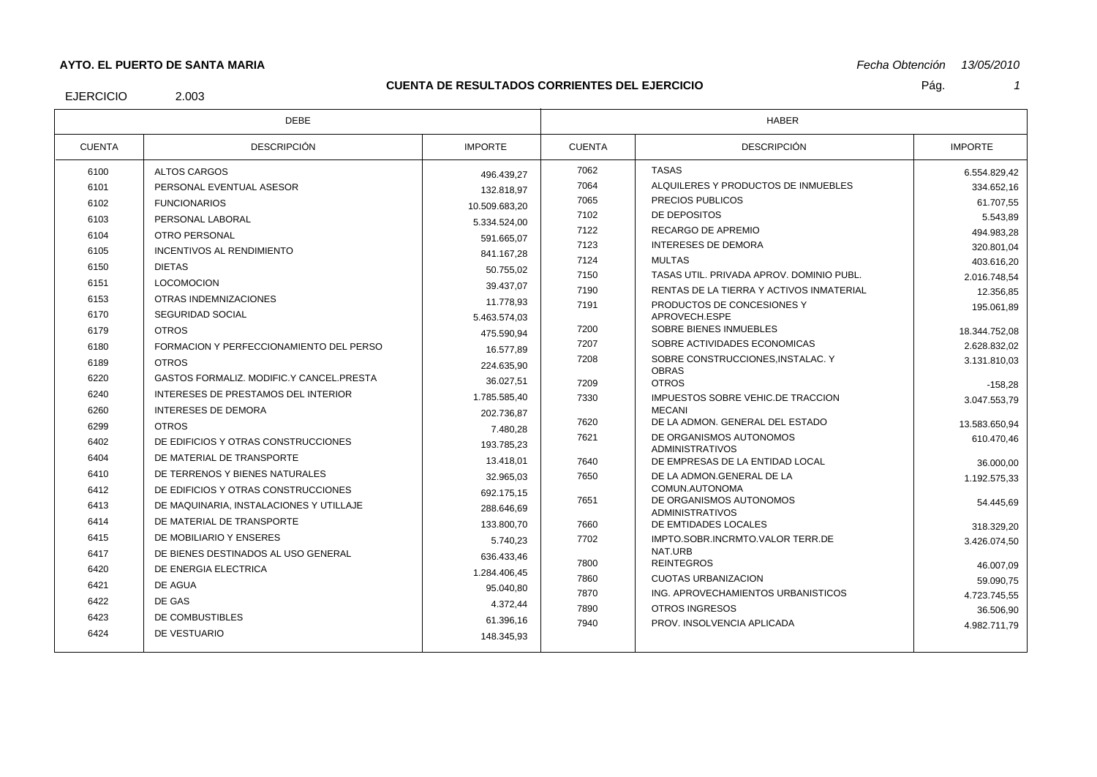# **AYTO. EL PUERTO DE SANTA MARIA**

### **CUENTA DE RESULTADOS CORRIENTES DEL EJERCICIO**

Pág. *1*

EJERCICIO

2.003

| PLL LVLI\VIVIV<br>____ |  |  |
|------------------------|--|--|
|                        |  |  |
|                        |  |  |
|                        |  |  |

*Fecha Obtención 13/05/2010*

| <b>DEBE</b>   |                                          | HABER          |               |                                                    |                |
|---------------|------------------------------------------|----------------|---------------|----------------------------------------------------|----------------|
| <b>CUENTA</b> | <b>DESCRIPCIÓN</b>                       | <b>IMPORTE</b> | <b>CUENTA</b> | <b>DESCRIPCIÓN</b>                                 | <b>IMPORTE</b> |
| 6100          | ALTOS CARGOS                             | 496.439,27     | 7062          | <b>TASAS</b>                                       | 6.554.829,42   |
| 6101          | PERSONAL EVENTUAL ASESOR                 | 132.818.97     | 7064          | ALQUILERES Y PRODUCTOS DE INMUEBLES                | 334.652.16     |
| 6102          | <b>FUNCIONARIOS</b>                      | 10.509.683,20  | 7065          | PRECIOS PUBLICOS                                   | 61.707,55      |
| 6103          | PERSONAL LABORAL                         | 5.334.524,00   | 7102          | DE DEPOSITOS                                       | 5.543,89       |
| 6104          | OTRO PERSONAL                            | 591.665.07     | 7122          | RECARGO DE APREMIO                                 | 494.983,28     |
| 6105          | <b>INCENTIVOS AL RENDIMIENTO</b>         | 841.167.28     | 7123          | <b>INTERESES DE DEMORA</b>                         | 320.801.04     |
| 6150          | <b>DIETAS</b>                            | 50.755.02      | 7124          | <b>MULTAS</b>                                      | 403.616,20     |
| 6151          | <b>LOCOMOCION</b>                        | 39.437.07      | 7150          | TASAS UTIL. PRIVADA APROV. DOMINIO PUBL.           | 2.016.748,54   |
| 6153          | OTRAS INDEMNIZACIONES                    | 11.778.93      | 7190          | RENTAS DE LA TIERRA Y ACTIVOS INMATERIAL           | 12.356,85      |
| 6170          | <b>SEGURIDAD SOCIAL</b>                  | 5.463.574,03   | 7191          | PRODUCTOS DE CONCESIONES Y<br>APROVECH.ESPE        | 195.061.89     |
| 6179          | <b>OTROS</b>                             | 475.590.94     | 7200          | SOBRE BIENES INMUEBLES                             | 18.344.752,08  |
| 6180          | FORMACION Y PERFECCIONAMIENTO DEL PERSO  | 16.577.89      | 7207          | SOBRE ACTIVIDADES ECONOMICAS                       | 2.628.832.02   |
| 6189          | <b>OTROS</b>                             | 224.635.90     | 7208          | SOBRE CONSTRUCCIONES.INSTALAC. Y                   | 3.131.810,03   |
| 6220          | GASTOS FORMALIZ, MODIFIC Y CANCEL PRESTA | 36.027.51      |               | <b>OBRAS</b>                                       |                |
| 6240          | INTERESES DE PRESTAMOS DEL INTERIOR      |                | 7209          | <b>OTROS</b>                                       | $-158.28$      |
| 6260          | <b>INTERESES DE DEMORA</b>               | 1.785.585,40   | 7330          | IMPUESTOS SOBRE VEHIC.DE TRACCION<br><b>MECANI</b> | 3.047.553,79   |
| 6299          | <b>OTROS</b>                             | 202.736.87     | 7620          | DE LA ADMON. GENERAL DEL ESTADO                    | 13.583.650,94  |
| 6402          | DE EDIFICIOS Y OTRAS CONSTRUCCIONES      | 7.480.28       | 7621          | DE ORGANISMOS AUTONOMOS                            | 610.470,46     |
| 6404          | DE MATERIAL DE TRANSPORTE                | 193.785.23     |               | <b>ADMINISTRATIVOS</b>                             |                |
| 6410          | DE TERRENOS Y BIENES NATURALES           | 13.418.01      | 7640          | DE EMPRESAS DE LA ENTIDAD LOCAL                    | 36.000,00      |
| 6412          | DE EDIFICIOS Y OTRAS CONSTRUCCIONES      | 32.965,03      | 7650          | DE LA ADMON.GENERAL DE LA<br>COMUN.AUTONOMA        | 1.192.575,33   |
| 6413          | DE MAQUINARIA. INSTALACIONES Y UTILLAJE  | 692.175.15     | 7651          | DE ORGANISMOS AUTONOMOS                            | 54.445,69      |
|               |                                          | 288.646,69     |               | <b>ADMINISTRATIVOS</b>                             |                |
| 6414          | DE MATERIAL DE TRANSPORTE                | 133.800.70     | 7660          | DE EMTIDADES LOCALES                               | 318.329,20     |
| 6415          | DE MOBILIARIO Y ENSERES                  | 5.740.23       | 7702          | IMPTO.SOBR.INCRMTO.VALOR TERR.DE<br>NAT.URB        | 3.426.074,50   |
| 6417          | DE BIENES DESTINADOS AL USO GENERAL      | 636.433.46     | 7800          | <b>REINTEGROS</b>                                  | 46.007.09      |
| 6420          | DE ENERGIA ELECTRICA                     | 1.284.406.45   | 7860          | <b>CUOTAS URBANIZACION</b>                         | 59.090,75      |
| 6421          | DE AGUA                                  | 95.040,80      | 7870          | ING. APROVECHAMIENTOS URBANISTICOS                 | 4.723.745,55   |
| 6422          | DE GAS                                   | 4.372,44       | 7890          | <b>OTROS INGRESOS</b>                              | 36.506,90      |
| 6423          | DE COMBUSTIBLES                          | 61.396,16      | 7940          | PROV. INSOLVENCIA APLICADA                         | 4.982.711,79   |
| 6424          | DE VESTUARIO                             | 148.345.93     |               |                                                    |                |
|               |                                          |                |               |                                                    |                |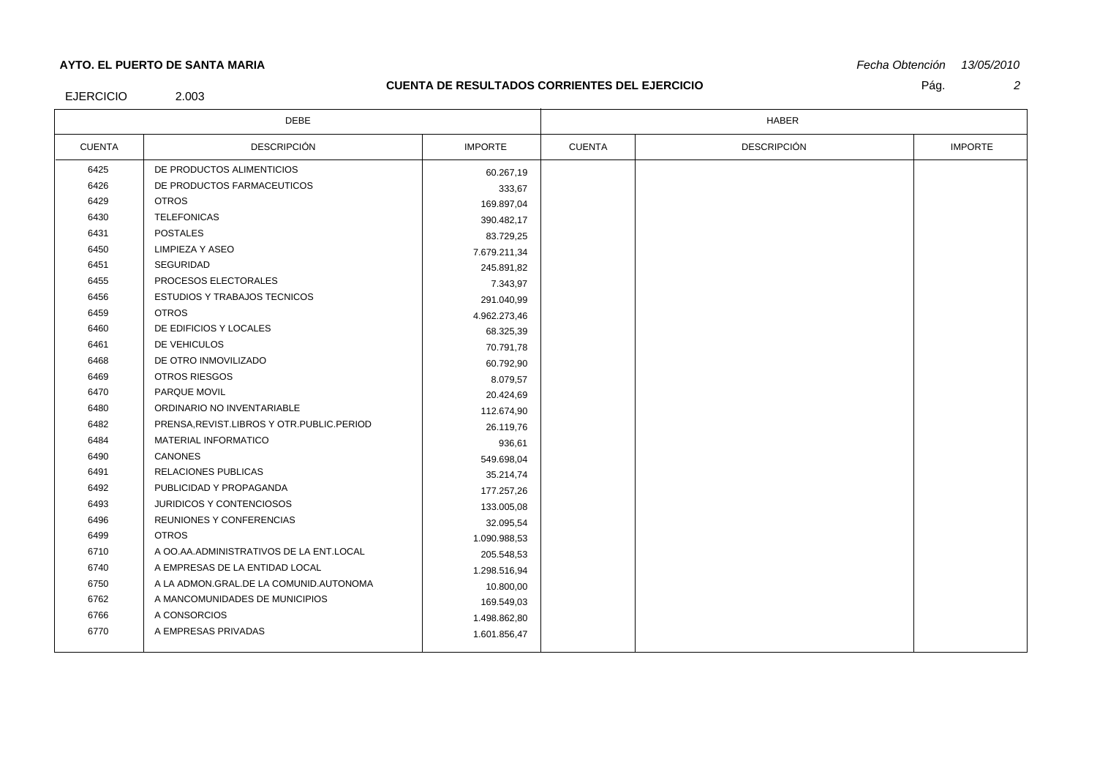# **AYTO. EL PUERTO DE SANTA MARIA**

### **CUENTA DE RESULTADOS CORRIENTES DEL EJERCICIO**

*Fecha Obtención 13/05/2010*

EJERCICIO

2.003

| <b>DEBE</b>   |                                             | <b>HABER</b>   |               |                    |                |
|---------------|---------------------------------------------|----------------|---------------|--------------------|----------------|
| <b>CUENTA</b> | <b>DESCRIPCIÓN</b>                          | <b>IMPORTE</b> | <b>CUENTA</b> | <b>DESCRIPCIÓN</b> | <b>IMPORTE</b> |
| 6425          | DE PRODUCTOS ALIMENTICIOS                   | 60.267,19      |               |                    |                |
| 6426          | DE PRODUCTOS FARMACEUTICOS                  | 333,67         |               |                    |                |
| 6429          | <b>OTROS</b>                                | 169.897,04     |               |                    |                |
| 6430          | <b>TELEFONICAS</b>                          | 390.482,17     |               |                    |                |
| 6431          | <b>POSTALES</b>                             | 83.729,25      |               |                    |                |
| 6450          | <b>LIMPIEZA Y ASEO</b>                      | 7.679.211,34   |               |                    |                |
| 6451          | <b>SEGURIDAD</b>                            | 245.891,82     |               |                    |                |
| 6455          | PROCESOS ELECTORALES                        | 7.343,97       |               |                    |                |
| 6456          | <b>ESTUDIOS Y TRABAJOS TECNICOS</b>         | 291.040,99     |               |                    |                |
| 6459          | <b>OTROS</b>                                | 4.962.273,46   |               |                    |                |
| 6460          | DE EDIFICIOS Y LOCALES                      | 68.325,39      |               |                    |                |
| 6461          | DE VEHICULOS                                | 70.791,78      |               |                    |                |
| 6468          | DE OTRO INMOVILIZADO                        | 60.792,90      |               |                    |                |
| 6469          | <b>OTROS RIESGOS</b>                        | 8.079,57       |               |                    |                |
| 6470          | PARQUE MOVIL                                | 20.424,69      |               |                    |                |
| 6480          | ORDINARIO NO INVENTARIABLE                  | 112.674,90     |               |                    |                |
| 6482          | PRENSA, REVIST.LIBROS Y OTR. PUBLIC. PERIOD | 26.119,76      |               |                    |                |
| 6484          | <b>MATERIAL INFORMATICO</b>                 | 936,61         |               |                    |                |
| 6490          | CANONES                                     | 549.698,04     |               |                    |                |
| 6491          | <b>RELACIONES PUBLICAS</b>                  | 35.214,74      |               |                    |                |
| 6492          | PUBLICIDAD Y PROPAGANDA                     | 177.257,26     |               |                    |                |
| 6493          | JURIDICOS Y CONTENCIOSOS                    | 133.005,08     |               |                    |                |
| 6496          | REUNIONES Y CONFERENCIAS                    | 32.095,54      |               |                    |                |
| 6499          | <b>OTROS</b>                                | 1.090.988,53   |               |                    |                |
| 6710          | A OO.AA.ADMINISTRATIVOS DE LA ENT.LOCAL     | 205.548,53     |               |                    |                |
| 6740          | A EMPRESAS DE LA ENTIDAD LOCAL              | 1.298.516,94   |               |                    |                |
| 6750          | A LA ADMON.GRAL.DE LA COMUNID.AUTONOMA      | 10.800,00      |               |                    |                |
| 6762          | A MANCOMUNIDADES DE MUNICIPIOS              | 169.549,03     |               |                    |                |
| 6766          | A CONSORCIOS                                | 1.498.862,80   |               |                    |                |
| 6770          | A EMPRESAS PRIVADAS                         | 1.601.856,47   |               |                    |                |
|               |                                             |                |               |                    |                |

Pág. *2*